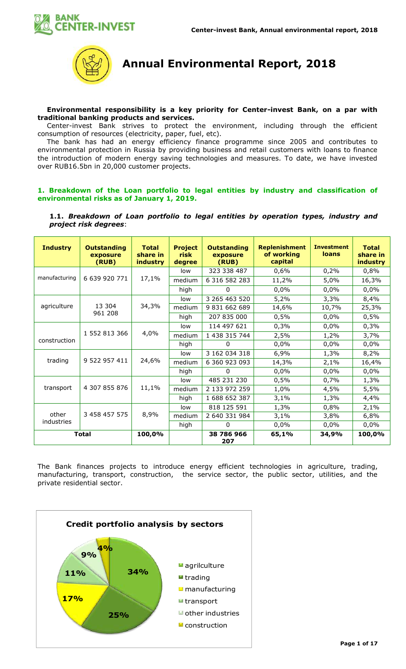



**Annual Environmental Report, 2018**

## **Environmental responsibility is a key priority for Center-invest Bank, on a par with traditional banking products and services.**

Center-invest Bank strives to protect the environment, including through the efficient consumption of resources (electricity, paper, fuel, etc).

The bank has had an energy efficiency finance programme since 2005 and contributes to environmental protection in Russia by providing business and retail customers with loans to finance the introduction of modern energy saving technologies and measures. To date, we have invested over RUB16.5bn in 20,000 customer projects.

## **1. Breakdown of the Loan portfolio to legal entities by industry and classification of environmental risks as of January 1, 2019.**

## **1.1.** *Breakdown of Loan portfolio to legal entities by operation types, industry and project risk degrees*:

| <b>Industry</b> | <b>Outstanding</b><br>exposure<br>(RUB) | <b>Replenishment</b><br><b>Project</b><br><b>Total</b><br><b>Outstanding</b><br>of working<br>share in<br><b>risk</b><br>exposure<br>capital<br>(RUB)<br><i>industry</i><br>degree |        |                   | <b>Investment</b><br><b>loans</b> | <b>Total</b><br>share in<br><b>industry</b> |        |
|-----------------|-----------------------------------------|------------------------------------------------------------------------------------------------------------------------------------------------------------------------------------|--------|-------------------|-----------------------------------|---------------------------------------------|--------|
|                 |                                         |                                                                                                                                                                                    | low    | 323 338 487       | 0,6%                              | 0,2%                                        | 0,8%   |
| manufacturing   | 6 639 920 771                           | 17,1%                                                                                                                                                                              | medium | 6 316 582 283     | 11,2%                             | 5,0%                                        | 16,3%  |
|                 |                                         |                                                                                                                                                                                    | high   | 0                 | 0,0%                              | 0,0%                                        | 0,0%   |
|                 |                                         |                                                                                                                                                                                    | low    | 3 265 463 520     | 5,2%                              | 3,3%                                        | 8,4%   |
| agriculture     | 13 304                                  | 34,3%                                                                                                                                                                              | medium | 9 831 662 689     | 14,6%                             | 10,7%                                       | 25,3%  |
|                 | 961 208                                 |                                                                                                                                                                                    | high   | 207 835 000       | 0,5%                              | 0,0%                                        | 0,5%   |
|                 |                                         | 4,0%                                                                                                                                                                               | low    | 114 497 621       | 0,3%                              | 0,0%                                        | 0,3%   |
|                 | 1 552 813 366                           |                                                                                                                                                                                    | medium | 1 438 315 744     | 2,5%                              | 1,2%                                        | 3,7%   |
| construction    |                                         |                                                                                                                                                                                    | high   | 0                 | 0,0%                              | 0,0%                                        | 0,0%   |
|                 | 9 522 957 411                           | 24,6%                                                                                                                                                                              | low    | 3 162 034 318     | 6,9%                              | 1,3%                                        | 8,2%   |
| trading         |                                         |                                                                                                                                                                                    | medium | 6 360 923 093     | 14,3%                             | 2,1%                                        | 16,4%  |
|                 |                                         |                                                                                                                                                                                    | high   | 0                 | 0,0%                              | 0,0%                                        | 0,0%   |
|                 |                                         |                                                                                                                                                                                    | low    | 485 231 230       | 0,5%                              | 0,7%                                        | 1,3%   |
| transport       | 4 307 855 876                           | 11,1%                                                                                                                                                                              | medium | 2 133 972 259     | 1,0%                              | 4,5%                                        | 5,5%   |
|                 |                                         |                                                                                                                                                                                    | high   | 1 688 652 387     | 3,1%                              | 1,3%                                        | 4,4%   |
|                 |                                         |                                                                                                                                                                                    | low    | 818 125 591       | 1,3%                              | 0,8%                                        | 2,1%   |
| other           | 3 458 457 575                           | 8,9%                                                                                                                                                                               | medium | 2 640 331 984     | 3,1%                              | 3,8%                                        | 6,8%   |
| industries      |                                         |                                                                                                                                                                                    | high   | 0                 | 0,0%                              | 0,0%                                        | 0,0%   |
| <b>Total</b>    |                                         | 100,0%                                                                                                                                                                             |        | 38 786 966<br>207 | 65,1%                             | 34,9%                                       | 100,0% |

The Bank finances projects to introduce energy efficient technologies in agriculture, trading, manufacturing, transport, construction, the service sector, the public sector, utilities, and the private residential sector.

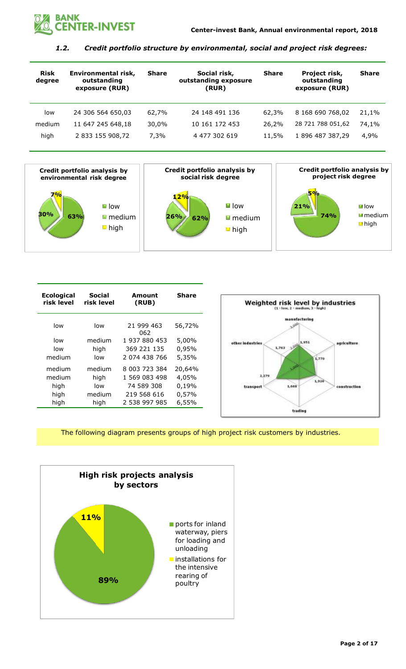

# *1.2. Credit portfolio structure by environmental, social and project risk degrees:*

| <b>Risk</b><br>degree | Environmental risk,<br>outstanding<br>exposure (RUR) | <b>Share</b> | Social risk,<br>outstanding exposure<br>(RUR) | <b>Share</b> | Project risk,<br>outstanding<br>exposure (RUR) | <b>Share</b> |
|-----------------------|------------------------------------------------------|--------------|-----------------------------------------------|--------------|------------------------------------------------|--------------|
| low                   | 24 306 564 650,03                                    | 62,7%        | 24 148 491 136                                | 62,3%        | 8 168 690 768,02                               | 21,1%        |
| medium                | 11 647 245 648,18                                    | 30,0%        | 10 161 172 453                                | 26,2%        | 28 721 788 051,62                              | 74,1%        |
| high                  | 2 833 155 908,72                                     | 7,3%         | 4 477 302 619                                 | 11,5%        | 1 896 487 387,29                               | 4,9%         |



| <b>Ecological</b><br>risk level | Social<br>risk level | Amount<br>(RUB)   | <b>Share</b> |
|---------------------------------|----------------------|-------------------|--------------|
| low                             | low                  | 21 999 463<br>062 | 56,72%       |
| low                             | medium               | 1 937 880 453     | 5,00%        |
| low                             | high                 | 369 221 135       | 0,95%        |
| medium                          | low                  | 2 074 438 766     | 5,35%        |
| medium                          | medium               | 8 003 723 384     | 20,64%       |
| medium                          | high                 | 1 569 083 498     | 4,05%        |
| high                            | low                  | 74 589 308        | 0,19%        |
| high                            | medium               | 219 568 616       | 0,57%        |
| high                            | high                 | 2 538 997 985     | 6,55%        |



The following diagram presents groups of high project risk customers by industries.

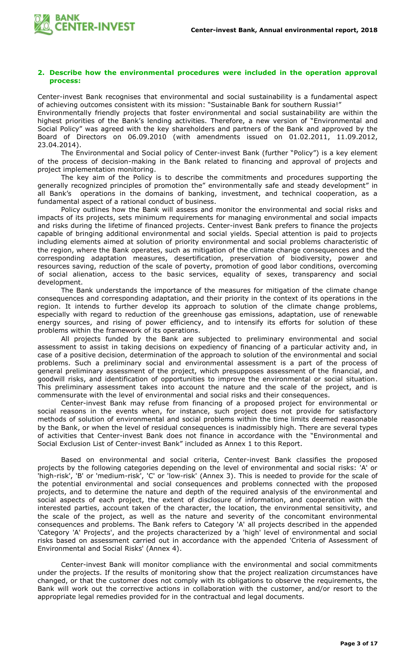

#### **2. Describe how the environmental procedures were included in the operation approval process:**

Center-invest Bank recognises that environmental and social sustainability is a fundamental aspect of achieving outcomes consistent with its mission: "Sustainable Bank for southern Russia!"

Environmentally friendly projects that foster environmental and social sustainability are within the highest priorities of the Bank's lending activities. Therefore, a new version of "Environmental and Social Policy" was agreed with the key shareholders and partners of the Bank and approved by the Board of Directors on 06.09.2010 (with amendments issued on 01.02.2011, 11.09.2012, 23.04.2014).

The Environmental and Social policy of Center-invest Bank (further "Policy") is a key element of the process of decision-making in the Bank related to financing and approval of projects and project implementation monitoring.

The key aim of the Policy is to describe the commitments and procedures supporting the generally recognized principles of promotion the" environmentally safe and steady development" in all Bank's operations in the domains of banking, investment, and technical cooperation, as a fundamental aspect of a rational conduct of business.

Policy outlines how the Bank will assess and monitor the environmental and social risks and impacts of its projects, sets minimum requirements for managing environmental and social impacts and risks during the lifetime of financed projects. Center-invest Bank prefers to finance the projects capable of bringing additional environmental and social yields. Special attention is paid to projects including elements aimed at solution of priority environmental and social problems characteristic of the region, where the Bank operates, such as mitigation of the climate change consequences and the corresponding adaptation measures, desertification, preservation of biodiversity, power and resources saving, reduction of the scale of poverty, promotion of good labor conditions, overcoming of social alienation, access to the basic services, equality of sexes, transparency and social development.

The Bank understands the importance of the measures for mitigation of the climate change consequences and corresponding adaptation, and their priority in the context of its operations in the region. It intends to further develop its approach to solution of the climate change problems, especially with regard to reduction of the greenhouse gas emissions, adaptation, use of renewable energy sources, and rising of power efficiency, and to intensify its efforts for solution of these problems within the framework of its operations.

All projects funded by the Bank are subjected to preliminary environmental and social assessment to assist in taking decisions on expediency of financing of a particular activity and, in case of a positive decision, determination of the approach to solution of the environmental and social problems. Such a preliminary social and environmental assessment is a part of the process of general preliminary assessment of the project, which presupposes assessment of the financial, and goodwill risks, and identification of opportunities to improve the environmental or social situation. This preliminary assessment takes into account the nature and the scale of the project, and is commensurate with the level of environmental and social risks and their consequences.

Center-invest Bank may refuse from financing of a proposed project for environmental or social reasons in the events when, for instance, such project does not provide for satisfactory methods of solution of environmental and social problems within the time limits deemed reasonable by the Bank, or when the level of residual consequences is inadmissibly high. There are several types of activities that Center-invest Bank does not finance in accordance with the "Environmental and Social Exclusion List of Center-invest Bank" included as Annex 1 to this Report.

Based on environmental and social criteria, Center-invest Bank classifies the proposed projects by the following categories depending on the level of environmental and social risks: 'A' or 'high-risk', 'B' or 'medium-risk', 'C' or 'low-risk' (Annex 3). This is needed to provide for the scale of the potential environmental and social consequences and problems connected with the proposed projects, and to determine the nature and depth of the required analysis of the environmental and social aspects of each project, the extent of disclosure of information, and cooperation with the interested parties, account taken of the character, the location, the environmental sensitivity, and the scale of the project, as well as the nature and severity of the concomitant environmental consequences and problems. The Bank refers to Category 'A' all projects described in the appended 'Category 'A' Projects', and the projects characterized by a 'high' level of environmental and social risks based on assessment carried out in accordance with the appended 'Criteria of Assessment of Environmental and Social Risks' (Annex 4).

Center-invest Bank will monitor compliance with the environmental and social commitments under the projects. If the results of monitoring show that the project realization circumstances have changed, or that the customer does not comply with its obligations to observe the requirements, the Bank will work out the corrective actions in collaboration with the customer, and/or resort to the appropriate legal remedies provided for in the contractual and legal documents.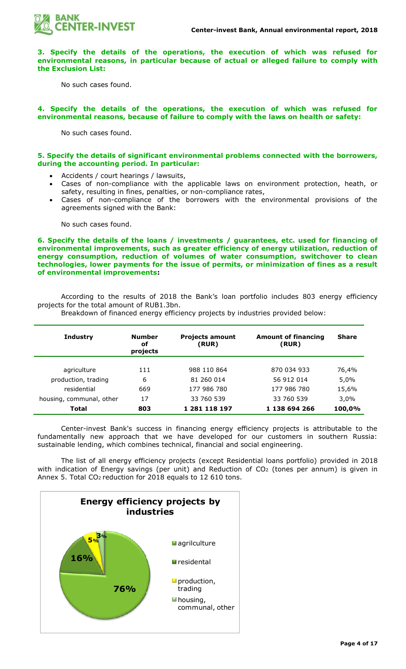

**3. Specify the details of the operations, the execution of which was refused for environmental reasons, in particular because of actual or alleged failure to comply with the Exclusion List:**

No such cases found.

### **4. Specify the details of the operations, the execution of which was refused for environmental reasons, because of failure to comply with the laws on health or safety:**

No such cases found.

#### **5. Specify the details of significant environmental problems connected with the borrowers, during the accounting period. In particular:**

- Accidents / court hearings / lawsuits,
- Cases of non-compliance with the applicable laws on environment protection, heath, or safety, resulting in fines, penalties, or non-compliance rates,
- Cases of non-compliance of the borrowers with the environmental provisions of the agreements signed with the Bank:

No such cases found.

**6. Specify the details of the loans / investments / guarantees, etc. used for financing of environmental improvements, such as greater efficiency of energy utilization, reduction of energy consumption, reduction of volumes of water consumption, switchover to clean technologies, lower payments for the issue of permits, or minimization of fines as a result of environmental improvements:**

According to the results of 2018 the Bank's loan portfolio includes 803 energy efficiency projects for the total amount of RUB1.3bn.

| <b>Industry</b>          | <b>Number</b><br>of<br>projects | <b>Projects amount</b><br>(RUR) | <b>Amount of financing</b><br>(RUR) | <b>Share</b> |
|--------------------------|---------------------------------|---------------------------------|-------------------------------------|--------------|
|                          |                                 |                                 |                                     |              |
| agriculture              | 111                             | 988 110 864                     | 870 034 933                         | 76,4%        |
| production, trading      | 6                               | 81 260 014                      | 56 912 014                          | 5,0%         |
| residential              | 669                             | 177 986 780                     | 177 986 780                         | 15,6%        |
| housing, communal, other | 17                              | 33 760 539                      | 33 760 539                          | 3,0%         |
| Total                    | 803                             | 1 281 118 197                   | 1 138 694 266                       | 100,0%       |

Breakdown of financed energy efficiency projects by industries provided below:

Center-invest Bank's success in financing energy efficiency projects is attributable to the fundamentally new approach that we have developed for our customers in southern Russia: sustainable lending, which combines technical, financial and social engineering.

The list of all energy efficiency projects (except Residential loans portfolio) provided in 2018 with indication of Energy savings (per unit) and Reduction of  $CO<sub>2</sub>$  (tones per annum) is given in Annex 5. Total CO<sub>2</sub> reduction for 2018 equals to 12 610 tons.

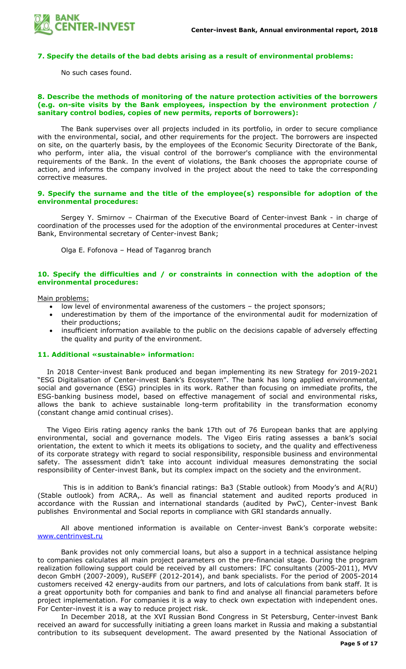

#### **7. Specify the details of the bad debts arising as a result of environmental problems:**

No such cases found.

#### **8. Describe the methods of monitoring of the nature protection activities of the borrowers (e.g. on-site visits by the Bank employees, inspection by the environment protection / sanitary control bodies, copies of new permits, reports of borrowers):**

The Bank supervises over all projects included in its portfolio, in order to secure compliance with the environmental, social, and other requirements for the project. The borrowers are inspected on site, on the quarterly basis, by the employees of the Economic Security Directorate of the Bank, who perform, inter alia, the visual control of the borrower's compliance with the environmental requirements of the Bank. In the event of violations, the Bank chooses the appropriate course of action, and informs the company involved in the project about the need to take the corresponding corrective measures.

#### **9. Specify the surname and the title of the employee(s) responsible for adoption of the environmental procedures:**

Sergey Y. Smirnov – Chairman of the Executive Board of Center-invest Bank - in charge of coordination of the processes used for the adoption of the environmental procedures at Center-invest Bank, Environmental secretary of Center-invest Bank;

Olga E. Fofonova – Head of Taganrog branch

## **10. Specify the difficulties and / or constraints in connection with the adoption of the environmental procedures:**

Main problems:

- low level of environmental awareness of the customers the project sponsors;
- underestimation by them of the importance of the environmental audit for modernization of their productions;
- insufficient information available to the public on the decisions capable of adversely effecting the quality and purity of the environment.

#### **11. Additional «sustainable» information:**

In 2018 Center-invest Bank produced and began implementing its new Strategy for 2019-2021 "ESG Digitalisation of Center-invest Bank's Ecosystem". The bank has long applied environmental, social and governance (ESG) principles in its work. Rather than focusing on immediate profits, the ESG-banking business model, based on effective management of social and environmental risks, allows the bank to achieve sustainable long-term profitability in the transformation economy (constant change amid continual crises).

The Vigeo Eiris rating agency ranks the bank 17th out of 76 European banks that are applying environmental, social and governance models. The Vigeo Eiris rating assesses a bank's social orientation, the extent to which it meets its obligations to society, and the quality and effectiveness of its corporate strategy with regard to social responsibility, responsible business and environmental safety. The assessment didn't take into account individual measures demonstrating the social responsibility of Center-invest Bank, but its complex impact on the society and the environment.

This is in addition to Bank's financial ratings: Ba3 (Stable outlook) from Moody's and A(RU) (Stable outlook) from ACRA,. As well as financial statement and audited reports produced in accordance with the Russian and international standards (audited by PwC), Center-invest Bank publishes Environmental and Social reports in compliance with GRI standards annually.

All above mentioned information is available on Center-invest Bank's corporate website: [www.centrinvest.ru](http://www.centrinvest.ru/)

Bank provides not only commercial loans, but also a support in a technical assistance helping to companies calculates all main project parameters on the pre-financial stage. During the program realization following support could be received by all customers: IFC consultants (2005-2011), MVV decon GmbH (2007-2009), RuSEFF (2012-2014), and bank specialists. For the period of 2005-2014 customers received 42 energy-audits from our partners, and lots of calculations from bank staff. It is a great opportunity both for companies and bank to find and analyse all financial parameters before project implementation. For companies it is a way to check own expectation with independent ones. For Center-invest it is a way to reduce project risk.

In December 2018, at the XVI Russian Bond Congress in St Petersburg, Center-invest Bank received an award for successfully initiating a green loans market in Russia and making a substantial contribution to its subsequent development. The award presented by the National Association of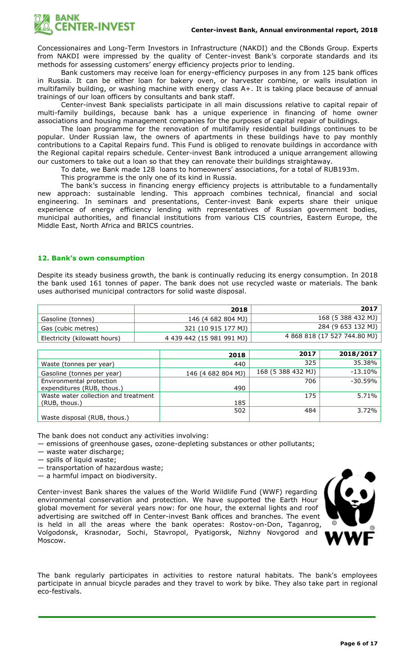

Concessionaires and Long-Term Investors in Infrastructure (NAKDI) and the CBonds Group. Experts from NAKDI were impressed by the quality of Center-invest Bank's corporate standards and its methods for assessing customers' energy efficiency projects prior to lending.

Bank customers may receive loan for energy-efficiency purposes in any from 125 bank offices in Russia. It can be either loan for bakery oven, or harvester combine, or walls insulation in multifamily building, or washing machine with energy class A+. It is taking place because of annual trainings of our loan officers by consultants and bank staff.

Center-invest Bank specialists participate in all main discussions relative to capital repair of multi-family buildings, because bank has a unique experience in financing of home owner associations and housing management companies for the purposes of capital repair of buildings.

The loan programme for the renovation of multifamily residential buildings continues to be popular. Under Russian law, the owners of apartments in these buildings have to pay monthly contributions to a Capital Repairs fund. This Fund is obliged to renovate buildings in accordance with the Regional capital repairs schedule. Center-invest Bank introduced a unique arrangement allowing our customers to take out a loan so that they can renovate their buildings straightaway.

To date, we Bank made 128 loans to homeowners' associations, for a total of RUB193m.

This programme is the only one of its kind in Russia.

The bank's success in financing energy efficiency projects is attributable to a fundamentally new approach: sustainable lending. This approach combines technical, financial and social engineering. In seminars and presentations, Center-invest Bank experts share their unique experience of energy efficiency lending with representatives of Russian government bodies, municipal authorities, and financial institutions from various CIS countries, Eastern Europe, the Middle East, North Africa and BRICS countries.

## **12. Bank's own consumption**

Despite its steady business growth, the bank is continually reducing its energy consumption. In 2018 the bank used 161 tonnes of paper. The bank does not use recycled waste or materials. The bank uses authorised municipal contractors for solid waste disposal.

|                              | 2018                      | 2017                         |
|------------------------------|---------------------------|------------------------------|
| Gasoline (tonnes)            | 146 (4 682 804 MJ)        | 168 (5 388 432 MJ)           |
| Gas (cubic metres)           | 321 (10 915 177 MJ)       | 284 (9 653 132 MJ)           |
| Electricity (kilowatt hours) | 4 439 442 (15 981 991 MJ) | 4 868 818 (17 527 744.80 MJ) |

|                                      | 2018               | 2017               | 2018/2017  |
|--------------------------------------|--------------------|--------------------|------------|
| Waste (tonnes per year)              | 440                | 325                | 35.38%     |
| Gasoline (tonnes per year)           | 146 (4 682 804 MJ) | 168 (5 388 432 MJ) | $-13.10%$  |
| Environmental protection             |                    | 706                | $-30.59\%$ |
| expenditures (RUB, thous.)           | 490                |                    |            |
| Waste water collection and treatment |                    | 175                | 5.71%      |
| (RUB, thous.)                        | 185                |                    |            |
|                                      | 502                | 484                | 3.72%      |
| Waste disposal (RUB, thous.)         |                    |                    |            |

The bank does not conduct any activities involving:

— emissions of greenhouse gases, ozone-depleting substances or other pollutants;

— waste water discharge;

— spills of liquid waste;

— transportation of hazardous waste;

— a harmful impact on biodiversity.

Center-invest Bank shares the values of the World Wildlife Fund (WWF) regarding environmental conservation and protection. We have supported the Earth Hour global movement for several years now: for one hour, the external lights and roof advertising are switched off in Center-invest Bank offices and branches. The event is held in all the areas where the bank operates: Rostov-on-Don, Taganrog, Volgodonsk, Krasnodar, Sochi, Stavropol, Pyatigorsk, Nizhny Novgorod and Moscow.



The bank regularly participates in activities to restore natural habitats. The bank's employees participate in annual bicycle parades and they travel to work by bike. They also take part in regional eco-festivals.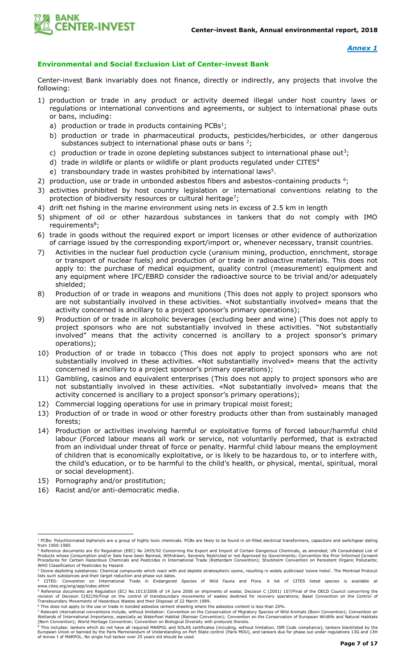

# **Environmental and Social Exclusion List of Center-invest Bank**

Center-invest Bank invariably does not finance, directly or indirectly, any projects that involve the following:

- 1) production or trade in any product or activity deemed illegal under host country laws or regulations or international conventions and agreements, or subject to international phase outs or bans, including:
	- a) production or trade in products containing  $PCBs<sup>1</sup>$ ;
	- b) production or trade in pharmaceutical products, pesticides/herbicides, or other dangerous substances subject to international phase outs or bans  $2$ ;
	- c) production or trade in ozone depleting substances subject to international phase out<sup>3</sup>;
	- d) trade in wildlife or plants or wildlife or plant products regulated under CITES<sup>4</sup>
	- e) transboundary trade in wastes prohibited by international laws<sup>5</sup>.
- 2) production, use or trade in unbonded asbestos fibers and asbestos-containing products  $6$ ;
- 3) activities prohibited by host country legislation or international conventions relating to the protection of biodiversity resources or cultural heritage<sup>7</sup>;
- 4) drift net fishing in the marine environment using nets in excess of 2.5 km in length
- 5) shipment of oil or other hazardous substances in tankers that do not comply with IMO requirements<sup>8</sup>;
- 6) trade in goods without the required export or import licenses or other evidence of authorization of carriage issued by the corresponding export/import or, whenever necessary, transit countries.
- 7) Activities in the nuclear fuel production cycle (uranium mining, production, enrichment, storage or transport of nuclear fuels) and production of or trade in radioactive materials. This does not apply to: the purchase of medical equipment, quality control (measurement) equipment and any equipment where IFC/EBRD consider the radioactive source to be trivial and/or adequately shielded;
- 8) Production of or trade in weapons and munitions (This does not apply to project sponsors who are not substantially involved in these activities. «Not substantially involved» means that the activity concerned is ancillary to a project sponsor's primary operations);
- 9) Production of or trade in alcoholic beverages (excluding beer and wine) (This does not apply to project sponsors who are not substantially involved in these activities. "Not substantially involved" means that the activity concerned is ancillary to a project sponsor's primary operations);
- 10) Production of or trade in tobacco (This does not apply to project sponsors who are not substantially involved in these activities. «Not substantially involved» means that the activity concerned is ancillary to a project sponsor's primary operations);
- 11) Gambling, casinos and equivalent enterprises (This does not apply to project sponsors who are not substantially involved in these activities. «Not substantially involved» means that the activity concerned is ancillary to a project sponsor's primary operations);
- 12) Commercial logging operations for use in primary tropical moist forest;
- 13) Production of or trade in wood or other forestry products other than from sustainably managed forests;
- 14) Production or activities involving harmful or exploitative forms of forced labour/harmful child labour (Forced labour means all work or service, not voluntarily performed, that is extracted from an individual under threat of force or penalty. Harmful child labour means the employment of children that is economically exploitative, or is likely to be hazardous to, or to interfere with, the child's education, or to be harmful to the child's health, or physical, mental, spiritual, moral or social development).
- 15) Pornography and/or prostitution;

 $\overline{a}$ 

16) Racist and/or anti-democratic media.

<sup>&</sup>lt;sup>1</sup> PCBs: Polychlorinated biphenyls are a group of highly toxic chemicals. PCBs are likely to be found in oil-filled electrical transformers, capacitors and switchgear dating from 1950-1985

<sup>&</sup>lt;sup>2</sup> Reference documents are EU Regulation (EEC) No 2455/92 Concerning the Export and Import of Certain Dangerous Chemicals, as amended; UN Consolidated List of<br>Products whose Consumption and/or Sale have been Banned, Withd

WHO Classification of Pesticides by Hazard.<br><sup>3</sup> Ozone depleting substances: Chemical compounds which react with and deplete stratospheric ozone, resulting in widely publicised 'ozone holes'. The Montreal Protocol lists such substances and their target reduction and phase out dates.<br><sup>4</sup> CITES: Convention on International Trade in Endangered Species of Wild Fauna and Flora. A list of CITES listed species is available at<br>www.cites.org

<sup>5</sup> Reference documents are Regulation (EC) No.1013/2006 of 14 June 2006 on shipments of waste; Decision C (2001) 107/Final of the OECD Council concerning the

revision of Decision C(92)39/Final on the control of transboundary movements of wastes destined for recovery operations; Basel Convention on the Control of<br>Transboundary Movements of Hazardous Wastes and their Disposal of

<sup>&</sup>lt;sup>7</sup> Relevant international conventions include, without limitation: Convention on the Conservation of Migratory Species of Wild Animals (Bonn Convention); Convention on<br>Wetlands of International Importance, especially as W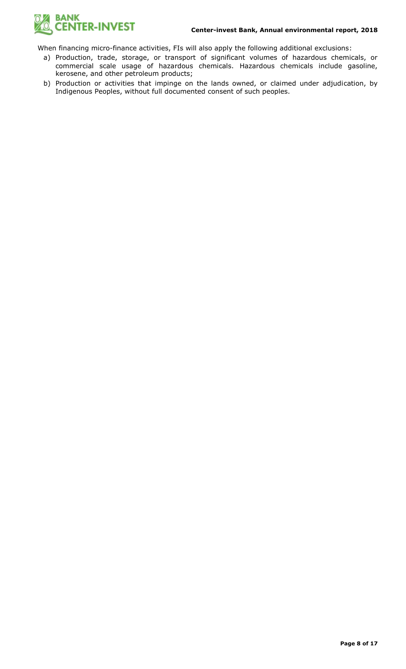

When financing micro-finance activities, FIs will also apply the following additional exclusions:

- a) Production, trade, storage, or transport of significant volumes of hazardous chemicals, or commercial scale usage of hazardous chemicals. Hazardous chemicals include gasoline, kerosene, and other petroleum products;
- b) Production or activities that impinge on the lands owned, or claimed under adjudication, by Indigenous Peoples, without full documented consent of such peoples.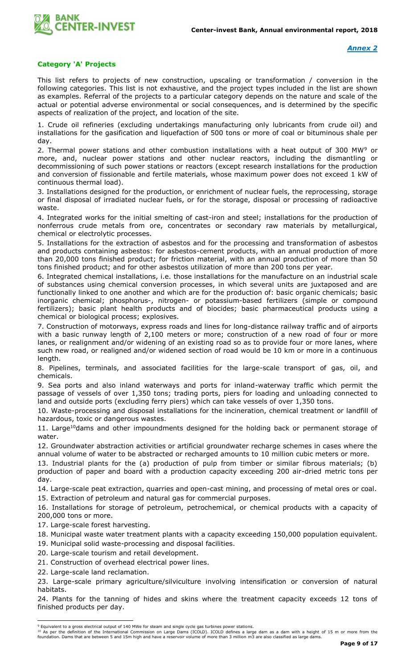

## **Category 'A' Projects**

This list refers to projects of new construction, upscaling or transformation / conversion in the following categories. This list is not exhaustive, and the project types included in the list are shown as examples. Referral of the projects to a particular category depends on the nature and scale of the actual or potential adverse environmental or social consequences, and is determined by the specific aspects of realization of the project, and location of the site.

1. Crude oil refineries (excluding undertakings manufacturing only lubricants from crude oil) and installations for the gasification and liquefaction of 500 tons or more of coal or bituminous shale per day.

2. Thermal power stations and other combustion installations with a heat output of 300 MW<sup>9</sup> or more, and, nuclear power stations and other nuclear reactors, including the dismantling or decommissioning of such power stations or reactors (except research installations for the production and conversion of fissionable and fertile materials, whose maximum power does not exceed 1 kW of continuous thermal load).

3. Installations designed for the production, or enrichment of nuclear fuels, the reprocessing, storage or final disposal of irradiated nuclear fuels, or for the storage, disposal or processing of radioactive waste.

4. Integrated works for the initial smelting of cast-iron and steel; installations for the production of nonferrous crude metals from ore, concentrates or secondary raw materials by metallurgical, chemical or electrolytic processes.

5. Installations for the extraction of asbestos and for the processing and transformation of asbestos and products containing asbestos: for asbestos-cement products, with an annual production of more than 20,000 tons finished product; for friction material, with an annual production of more than 50 tons finished product; and for other asbestos utilization of more than 200 tons per year.

6. Integrated chemical installations, i.e. those installations for the manufacture on an industrial scale of substances using chemical conversion processes, in which several units are juxtaposed and are functionally linked to one another and which are for the production of: basic organic chemicals; basic inorganic chemical; phosphorus-, nitrogen- or potassium-based fertilizers (simple or compound fertilizers); basic plant health products and of biocides; basic pharmaceutical products using a chemical or biological process; explosives.

7. Construction of motorways, express roads and lines for long-distance railway traffic and of airports with a basic runway length of 2,100 meters or more; construction of a new road of four or more lanes, or realignment and/or widening of an existing road so as to provide four or more lanes, where such new road, or realigned and/or widened section of road would be 10 km or more in a continuous length.

8. Pipelines, terminals, and associated facilities for the large-scale transport of gas, oil, and chemicals.

9. Sea ports and also inland waterways and ports for inland-waterway traffic which permit the passage of vessels of over 1,350 tons; trading ports, piers for loading and unloading connected to land and outside ports (excluding ferry piers) which can take vessels of over 1,350 tons.

10. Waste-processing and disposal installations for the incineration, chemical treatment or landfill of hazardous, toxic or dangerous wastes.

11. Large<sup>10</sup>dams and other impoundments designed for the holding back or permanent storage of water.

12. Groundwater abstraction activities or artificial groundwater recharge schemes in cases where the annual volume of water to be abstracted or recharged amounts to 10 million cubic meters or more.

13. Industrial plants for the (a) production of pulp from timber or similar fibrous materials; (b) production of paper and board with a production capacity exceeding 200 air-dried metric tons per day.

14. Large-scale peat extraction, quarries and open-cast mining, and processing of metal ores or coal. 15. Extraction of petroleum and natural gas for commercial purposes.

16. Installations for storage of petroleum, petrochemical, or chemical products with a capacity of 200,000 tons or more.

17. Large-scale forest harvesting.

18. Municipal waste water treatment plants with a capacity exceeding 150,000 population equivalent.

19. Municipal solid waste-processing and disposal facilities.

20. Large-scale tourism and retail development.

21. Construction of overhead electrical power lines.

22. Large-scale land reclamation.

23. Large-scale primary agriculture/silviculture involving intensification or conversion of natural habitats.

24. Plants for the tanning of hides and skins where the treatment capacity exceeds 12 tons of finished products per day.

<sup>10</sup> As per the definition of the International Commission on Large Dams (ICOLD). ICOLD defines a large dam as a dam with a height of 15 m or more from the<br>foundation. Dams that are between 5 and 15m high and have a reserv

 <sup>9</sup> Equivalent to a gross electrical output of 140 MWe for steam and single cycle gas turbines power stations.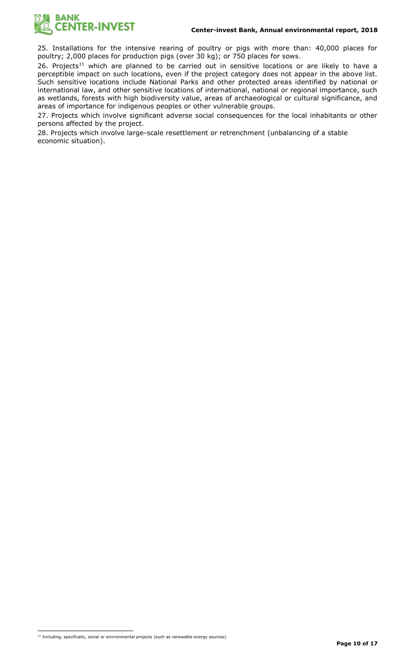

25. Installations for the intensive rearing of poultry or pigs with more than: 40,000 places for poultry; 2,000 places for production pigs (over 30 kg); or 750 places for sows.

26. Projects<sup>11</sup> which are planned to be carried out in sensitive locations or are likely to have a perceptible impact on such locations, even if the project category does not appear in the above list. Such sensitive locations include National Parks and other protected areas identified by national or international law, and other sensitive locations of international, national or regional importance, such as wetlands, forests with high biodiversity value, areas of archaeological or cultural significance, and areas of importance for indigenous peoples or other vulnerable groups.

27. Projects which involve significant adverse social consequences for the local inhabitants or other persons affected by the project.

28. Projects which involve large-scale resettlement or retrenchment (unbalancing of a stable economic situation).

<sup>11</sup> Including, specifically, social or environmental projects (such as renewable energy sources).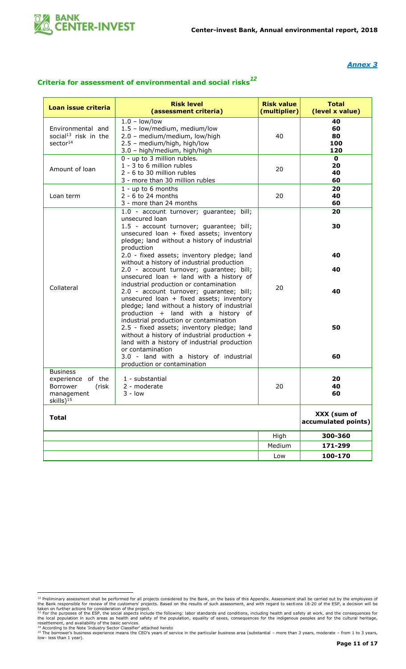

## *Annex 3*

# **Criteria for assessment of environmental and social risks***<sup>12</sup>*

| Loan issue criteria                                                                              | <b>Risk level</b>                                                                                                                                                                                                                                                                          | <b>Risk value</b> | <b>Total</b>                       |
|--------------------------------------------------------------------------------------------------|--------------------------------------------------------------------------------------------------------------------------------------------------------------------------------------------------------------------------------------------------------------------------------------------|-------------------|------------------------------------|
|                                                                                                  | (assessment criteria)                                                                                                                                                                                                                                                                      | (multiplier)      | (level x value)                    |
| Environmental and<br>social <sup>13</sup> risk in the<br>sector <sup>14</sup>                    | $1.0 - low/low$<br>1.5 - low/medium, medium/low<br>2.0 - medium/medium, low/high<br>2.5 - medium/high, high/low<br>3.0 - high/medium, high/high                                                                                                                                            | 40                | 40<br>60<br>80<br>100<br>120       |
| Amount of loan                                                                                   | 0 - up to 3 million rubles.<br>1 - 3 to 6 million rubles<br>2 - 6 to 30 million rubles<br>3 - more than 30 million rubles                                                                                                                                                                  | 20                | $\mathbf 0$<br>20<br>40<br>60      |
| Loan term                                                                                        | $1 - up to 6 months$<br>$2 - 6$ to 24 months<br>3 - more than 24 months                                                                                                                                                                                                                    | 20                | 20<br>40<br>60                     |
|                                                                                                  | 1.0 - account turnover; guarantee; bill;<br>unsecured loan<br>1.5 - account turnover; guarantee; bill;<br>unsecured loan + fixed assets; inventory<br>pledge; land without a history of industrial<br>production                                                                           |                   | 20<br>30                           |
|                                                                                                  | 2.0 - fixed assets; inventory pledge; land<br>without a history of industrial production<br>2.0 - account turnover; guarantee; bill;                                                                                                                                                       | 20                | 40<br>40                           |
| Collateral                                                                                       | unsecured loan $+$ land with a history of<br>industrial production or contamination<br>2.0 - account turnover; guarantee; bill;<br>unsecured loan + fixed assets; inventory<br>pledge; land without a history of industrial                                                                |                   | 40                                 |
|                                                                                                  | production + land with a history of<br>industrial production or contamination<br>2.5 - fixed assets; inventory pledge; land<br>without a history of industrial production +<br>land with a history of industrial production<br>or contamination<br>3.0 - land with a history of industrial |                   | 50<br>60                           |
|                                                                                                  | production or contamination                                                                                                                                                                                                                                                                |                   |                                    |
| <b>Business</b><br>experience of the<br>Borrower<br>(risk<br>management<br>skills) <sup>15</sup> | 1 - substantial<br>2 - moderate<br>3 - Iow                                                                                                                                                                                                                                                 | 20                | 20<br>40<br>60                     |
| <b>Total</b>                                                                                     |                                                                                                                                                                                                                                                                                            |                   | XXX (sum of<br>accumulated points) |
|                                                                                                  |                                                                                                                                                                                                                                                                                            | High              | 300-360                            |
|                                                                                                  |                                                                                                                                                                                                                                                                                            | Medium            | 171-299                            |
|                                                                                                  |                                                                                                                                                                                                                                                                                            | Low               | 100-170                            |

<sup>&</sup>lt;sup>12</sup> Preliminary assessment shall be performed for all projects considered by the Bank, on the basis of this Appendix. Assessment shall be carried out by the employees of<br>the Bank responsible for review of the customers' p

resettlement, and availability of the basic services.<br><sup>14</sup> According to the Note 'Industry Sector Classifier' attached hereto<br><sup>15</sup> The borrower's business experience means the CEO's years of service in the particular busin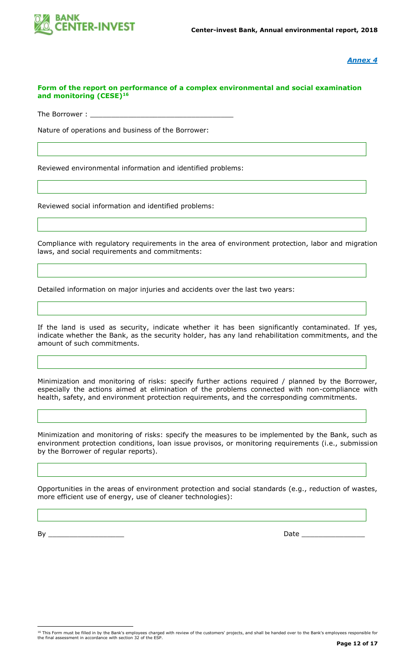

*Annex 4*

## **Form of the report on performance of a complex environmental and social examination and monitoring (CESE)<sup>16</sup>**

The Borrower :

Nature of operations and business of the Borrower:

Reviewed environmental information and identified problems:

Reviewed social information and identified problems:

Compliance with regulatory requirements in the area of environment protection, labor and migration laws, and social requirements and commitments:

Detailed information on major injuries and accidents over the last two years:

If the land is used as security, indicate whether it has been significantly contaminated. If yes, indicate whether the Bank, as the security holder, has any land rehabilitation commitments, and the amount of such commitments.

Minimization and monitoring of risks: specify further actions required / planned by the Borrower, especially the actions aimed at elimination of the problems connected with non-compliance with health, safety, and environment protection requirements, and the corresponding commitments.

Minimization and monitoring of risks: specify the measures to be implemented by the Bank, such as environment protection conditions, loan issue provisos, or monitoring requirements (i.e., submission by the Borrower of regular reports).

Opportunities in the areas of environment protection and social standards (e.g., reduction of wastes, more efficient use of energy, use of cleaner technologies):

By \_\_\_\_\_\_\_\_\_\_\_\_\_\_\_\_\_\_ Date \_\_\_\_\_\_\_\_\_\_\_\_\_\_\_

<sup>&</sup>lt;sup>16</sup> This Form must be filled in by the Bank's employees charged with review of the customers' projects, and shall be handed over to the Bank's employees responsible for<br>the final assessment in accordance with section 32 o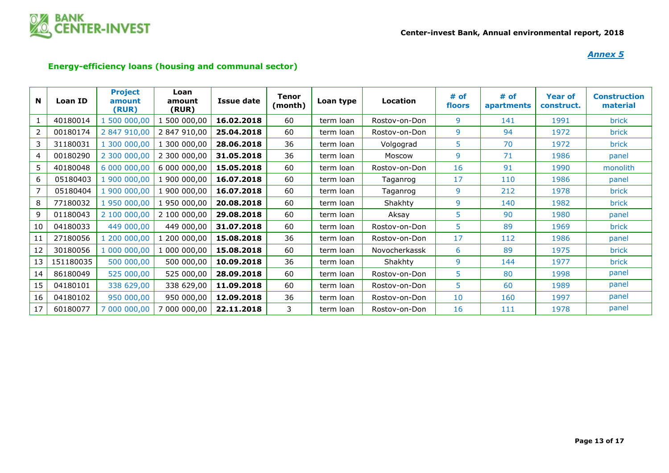

## *Annex 5*

# **Energy-efficiency loans (housing and communal sector)**

| N  | Loan ID   | <b>Project</b><br>amount<br>(RUR) | Loan<br>amount<br>(RUR) | <b>Issue date</b> | <b>Tenor</b><br>(month) | Loan type | Location      | # of<br>floors | # of<br>apartments | <b>Year of</b><br>construct. | <b>Construction</b><br>material |
|----|-----------|-----------------------------------|-------------------------|-------------------|-------------------------|-----------|---------------|----------------|--------------------|------------------------------|---------------------------------|
|    | 40180014  | 500 000,00                        | 500 000,00              | 16.02.2018        | 60                      | term loan | Rostov-on-Don | 9              | 141                | 1991                         | brick                           |
| 2  | 00180174  | 2 847 910,00                      | 2 847 910,00            | 25,04,2018        | 60                      | term loan | Rostov-on-Don | 9              | 94                 | 1972                         | brick                           |
| 3  | 31180031  | 1 300 000,00                      | 1 300 000,00            | 28.06.2018        | 36                      | term loan | Volgograd     | 5              | 70                 | 1972                         | <b>brick</b>                    |
| 4  | 00180290  | 2 300 000,00                      | 2 300 000,00            | 31.05.2018        | 36                      | term loan | Moscow        | 9              | 71                 | 1986                         | panel                           |
| 5  | 40180048  | 6 000 000,00                      | 6 000 000,00            | 15,05,2018        | 60                      | term loan | Rostov-on-Don | 16             | 91                 | 1990                         | monolith                        |
| 6  | 05180403  | 1 900 000,00                      | 1 900 000,00            | 16.07.2018        | 60                      | term loan | Taganrog      | 17             | 110                | 1986                         | panel                           |
| 7  | 05180404  | 1 900 000,00                      | 1 900 000,00            | 16.07.2018        | 60                      | term loan | Taganrog      | 9              | 212                | 1978                         | <b>brick</b>                    |
| 8  | 77180032  | 1 950 000,00                      | 1 950 000,00            | 20.08.2018        | 60                      | term loan | Shakhty       | 9              | 140                | 1982                         | <b>brick</b>                    |
| 9  | 01180043  | 2 100 000,00                      | 2 100 000,00            | 29.08.2018        | 60                      | term loan | Aksay         | 5              | 90                 | 1980                         | panel                           |
| 10 | 04180033  | 449 000,00                        | 449 000,00              | 31.07.2018        | 60                      | term loan | Rostov-on-Don | 5              | 89                 | 1969                         | brick                           |
| 11 | 27180056  | 1 200 000,00                      | 1 200 000,00            | 15.08.2018        | 36                      | term loan | Rostov-on-Don | 17             | 112                | 1986                         | panel                           |
| 12 | 30180056  | 1 000 000,00                      | 1 000 000,00            | 15.08.2018        | 60                      | term loan | Novocherkassk | 6              | 89                 | 1975                         | brick                           |
| 13 | 151180035 | 500 000,00                        | 500 000,00              | 10.09.2018        | 36                      | term loan | Shakhty       | 9              | 144                | 1977                         | brick                           |
| 14 | 86180049  | 525 000,00                        | 525 000,00              | 28.09.2018        | 60                      | term loan | Rostov-on-Don | 5              | 80                 | 1998                         | panel                           |
| 15 | 04180101  | 338 629,00                        | 338 629,00              | 11.09.2018        | 60                      | term loan | Rostov-on-Don | 5              | 60                 | 1989                         | panel                           |
| 16 | 04180102  | 950 000,00                        | 950 000,00              | 12.09.2018        | 36                      | term loan | Rostov-on-Don | 10             | 160                | 1997                         | panel                           |
| 17 | 60180077  | 7 000 000,00                      | 000 000,00 '            | 22.11.2018        | 3                       | term loan | Rostov-on-Don | 16             | 111                | 1978                         | panel                           |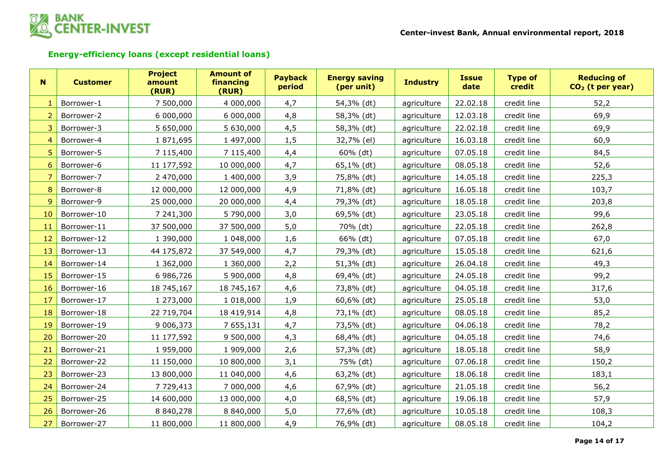

# **Energy-efficiency loans (except residential loans)**

| N              | <b>Customer</b> | <b>Project</b><br>amount<br>(RUR) | <b>Amount of</b><br>financing<br>(RUR) | <b>Payback</b><br>period | <b>Energy saving</b><br>(per unit) | <b>Industry</b> | <b>Issue</b><br>date | <b>Type of</b><br>credit | <b>Reducing of</b><br>$CO2$ (t per year) |
|----------------|-----------------|-----------------------------------|----------------------------------------|--------------------------|------------------------------------|-----------------|----------------------|--------------------------|------------------------------------------|
| $\mathbf{1}$   | Borrower-1      | 7 500,000                         | 4 000,000                              | 4,7                      | 54,3% (dt)                         | agriculture     | 22.02.18             | credit line              | 52,2                                     |
| $\overline{2}$ | Borrower-2      | 6 000,000                         | 6 000,000                              | 4,8                      | 58,3% (dt)                         | agriculture     | 12.03.18             | credit line              | 69,9                                     |
| 3              | Borrower-3      | 5 650,000                         | 5 630,000                              | 4,5                      | 58,3% (dt)                         | agriculture     | 22.02.18             | credit line              | 69,9                                     |
| 4              | Borrower-4      | 1871,695                          | 1 497,000                              | 1,5                      | 32,7% (el)                         | agriculture     | 16.03.18             | credit line              | 60,9                                     |
| 5              | Borrower-5      | 7 115,400                         | 7 115,400                              | 4,4                      | 60% (dt)                           | agriculture     | 07.05.18             | credit line              | 84,5                                     |
| 6              | Borrower-6      | 11 177,592                        | 10 000,000                             | 4,7                      | 65,1% (dt)                         | agriculture     | 08.05.18             | credit line              | 52,6                                     |
| 7              | Borrower-7      | 2 470,000                         | 1 400,000                              | 3,9                      | 75,8% (dt)                         | agriculture     | 14.05.18             | credit line              | 225,3                                    |
| 8              | Borrower-8      | 12 000,000                        | 12 000,000                             | 4,9                      | 71,8% (dt)                         | agriculture     | 16.05.18             | credit line              | 103,7                                    |
| 9              | Borrower-9      | 25 000,000                        | 20 000,000                             | 4,4                      | 79,3% (dt)                         | agriculture     | 18.05.18             | credit line              | 203,8                                    |
| 10             | Borrower-10     | 7 241,300                         | 5 790,000                              | 3,0                      | 69,5% (dt)                         | agriculture     | 23.05.18             | credit line              | 99,6                                     |
| 11             | Borrower-11     | 37 500,000                        | 37 500,000                             | 5,0                      | 70% (dt)                           | agriculture     | 22.05.18             | credit line              | 262,8                                    |
| 12             | Borrower-12     | 1 390,000                         | 1 048,000                              | 1,6                      | 66% (dt)                           | agriculture     | 07.05.18             | credit line              | 67,0                                     |
| 13             | Borrower-13     | 44 175,872                        | 37 549,000                             | 4,7                      | 79,3% (dt)                         | agriculture     | 15.05.18             | credit line              | 621,6                                    |
| 14             | Borrower-14     | 1 362,000                         | 1 360,000                              | 2,2                      | 51,3% (dt)                         | agriculture     | 26.04.18             | credit line              | 49,3                                     |
| 15             | Borrower-15     | 6 986,726                         | 5 900,000                              | 4,8                      | 69,4% (dt)                         | agriculture     | 24.05.18             | credit line              | 99,2                                     |
| 16             | Borrower-16     | 18 745,167                        | 18 745,167                             | 4,6                      | 73,8% (dt)                         | agriculture     | 04.05.18             | credit line              | 317,6                                    |
| 17             | Borrower-17     | 1 273,000                         | 1 018,000                              | 1,9                      | 60,6% (dt)                         | agriculture     | 25.05.18             | credit line              | 53,0                                     |
| 18             | Borrower-18     | 22 719,704                        | 18 419,914                             | 4,8                      | 73,1% (dt)                         | agriculture     | 08.05.18             | credit line              | 85,2                                     |
| 19             | Borrower-19     | 9 006,373                         | 7 655,131                              | 4,7                      | 73,5% (dt)                         | agriculture     | 04.06.18             | credit line              | 78,2                                     |
| 20             | Borrower-20     | 11 177,592                        | 9 500,000                              | 4,3                      | 68,4% (dt)                         | agriculture     | 04.05.18             | credit line              | 74,6                                     |
| 21             | Borrower-21     | 1 959,000                         | 1 909,000                              | 2,6                      | 57,3% (dt)                         | agriculture     | 18.05.18             | credit line              | 58,9                                     |
| 22             | Borrower-22     | 11 150,000                        | 10 800,000                             | 3,1                      | 75% (dt)                           | agriculture     | 07.06.18             | credit line              | 150,2                                    |
| 23             | Borrower-23     | 13 800,000                        | 11 040,000                             | 4,6                      | 63,2% (dt)                         | agriculture     | 18.06.18             | credit line              | 183,1                                    |
| 24             | Borrower-24     | 7 7 29, 413                       | 7 000,000                              | 4,6                      | 67,9% (dt)                         | agriculture     | 21.05.18             | credit line              | 56,2                                     |
| 25             | Borrower-25     | 14 600,000                        | 13 000,000                             | 4,0                      | 68,5% (dt)                         | agriculture     | 19.06.18             | credit line              | 57,9                                     |
| 26             | Borrower-26     | 8 840,278                         | 8 840,000                              | 5,0                      | 77,6% (dt)                         | agriculture     | 10.05.18             | credit line              | 108,3                                    |
| 27             | Borrower-27     | 11 800,000                        | 11 800,000                             | 4,9                      | 76,9% (dt)                         | agriculture     | 08.05.18             | credit line              | 104,2                                    |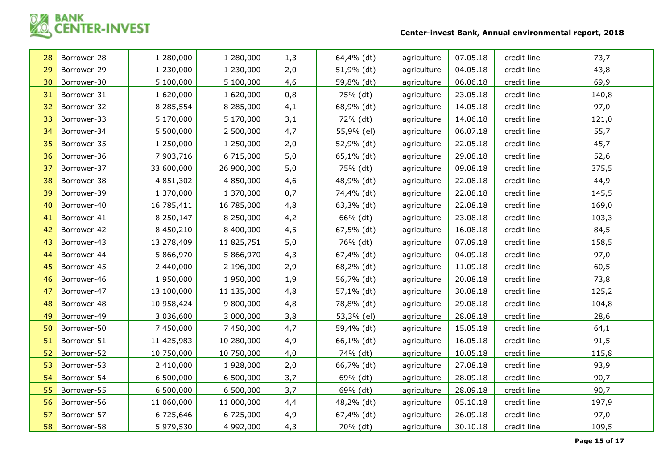

| 28 | Borrower-28 | 1 280,000  | 1 280,000  | 1,3 | 64,4% (dt) | agriculture | 07.05.18 | credit line | 73,7  |
|----|-------------|------------|------------|-----|------------|-------------|----------|-------------|-------|
| 29 | Borrower-29 | 1 230,000  | 1 230,000  | 2,0 | 51,9% (dt) | agriculture | 04.05.18 | credit line | 43,8  |
| 30 | Borrower-30 | 5 100,000  | 5 100,000  | 4,6 | 59,8% (dt) | agriculture | 06.06.18 | credit line | 69,9  |
| 31 | Borrower-31 | 1 620,000  | 1 620,000  | 0,8 | 75% (dt)   | agriculture | 23.05.18 | credit line | 140,8 |
| 32 | Borrower-32 | 8 285,554  | 8 285,000  | 4,1 | 68,9% (dt) | agriculture | 14.05.18 | credit line | 97,0  |
| 33 | Borrower-33 | 5 170,000  | 5 170,000  | 3,1 | 72% (dt)   | agriculture | 14.06.18 | credit line | 121,0 |
| 34 | Borrower-34 | 5 500,000  | 2 500,000  | 4,7 | 55,9% (el) | agriculture | 06.07.18 | credit line | 55,7  |
| 35 | Borrower-35 | 1 250,000  | 1 250,000  | 2,0 | 52,9% (dt) | agriculture | 22.05.18 | credit line | 45,7  |
| 36 | Borrower-36 | 7 903,716  | 6 715,000  | 5,0 | 65,1% (dt) | agriculture | 29.08.18 | credit line | 52,6  |
| 37 | Borrower-37 | 33 600,000 | 26 900,000 | 5,0 | 75% (dt)   | agriculture | 09.08.18 | credit line | 375,5 |
| 38 | Borrower-38 | 4 851,302  | 4 850,000  | 4,6 | 48,9% (dt) | agriculture | 22.08.18 | credit line | 44,9  |
| 39 | Borrower-39 | 1 370,000  | 1 370,000  | 0,7 | 74,4% (dt) | agriculture | 22.08.18 | credit line | 145,5 |
| 40 | Borrower-40 | 16 785,411 | 16 785,000 | 4,8 | 63,3% (dt) | agriculture | 22.08.18 | credit line | 169,0 |
| 41 | Borrower-41 | 8 250,147  | 8 250,000  | 4,2 | 66% (dt)   | agriculture | 23.08.18 | credit line | 103,3 |
| 42 | Borrower-42 | 8 450,210  | 8 400,000  | 4,5 | 67,5% (dt) | agriculture | 16.08.18 | credit line | 84,5  |
| 43 | Borrower-43 | 13 278,409 | 11 825,751 | 5,0 | 76% (dt)   | agriculture | 07.09.18 | credit line | 158,5 |
| 44 | Borrower-44 | 5 866,970  | 5 866,970  | 4,3 | 67,4% (dt) | agriculture | 04.09.18 | credit line | 97,0  |
| 45 | Borrower-45 | 2 440,000  | 2 196,000  | 2,9 | 68,2% (dt) | agriculture | 11.09.18 | credit line | 60,5  |
| 46 | Borrower-46 | 1 950,000  | 1 950,000  | 1,9 | 56,7% (dt) | agriculture | 20.08.18 | credit line | 73,8  |
| 47 | Borrower-47 | 13 100,000 | 11 135,000 | 4,8 | 57,1% (dt) | agriculture | 30.08.18 | credit line | 125,2 |
| 48 | Borrower-48 | 10 958,424 | 9 800,000  | 4,8 | 78,8% (dt) | agriculture | 29.08.18 | credit line | 104,8 |
| 49 | Borrower-49 | 3 036,600  | 3 000,000  | 3,8 | 53,3% (el) | agriculture | 28.08.18 | credit line | 28,6  |
| 50 | Borrower-50 | 7 450,000  | 7 450,000  | 4,7 | 59,4% (dt) | agriculture | 15.05.18 | credit line | 64,1  |
| 51 | Borrower-51 | 11 425,983 | 10 280,000 | 4,9 | 66,1% (dt) | agriculture | 16.05.18 | credit line | 91,5  |
| 52 | Borrower-52 | 10 750,000 | 10 750,000 | 4,0 | 74% (dt)   | agriculture | 10.05.18 | credit line | 115,8 |
| 53 | Borrower-53 | 2 410,000  | 1 928,000  | 2,0 | 66,7% (dt) | agriculture | 27.08.18 | credit line | 93,9  |
| 54 | Borrower-54 | 6 500,000  | 6 500,000  | 3,7 | 69% (dt)   | agriculture | 28.09.18 | credit line | 90,7  |
| 55 | Borrower-55 | 6 500,000  | 6 500,000  | 3,7 | 69% (dt)   | agriculture | 28.09.18 | credit line | 90,7  |
| 56 | Borrower-56 | 11 060,000 | 11 000,000 | 4,4 | 48,2% (dt) | agriculture | 05.10.18 | credit line | 197,9 |
| 57 | Borrower-57 | 6 725,646  | 6 725,000  | 4,9 | 67,4% (dt) | agriculture | 26.09.18 | credit line | 97,0  |
| 58 | Borrower-58 | 5 979,530  | 4 992,000  | 4,3 | 70% (dt)   | agriculture | 30.10.18 | credit line | 109,5 |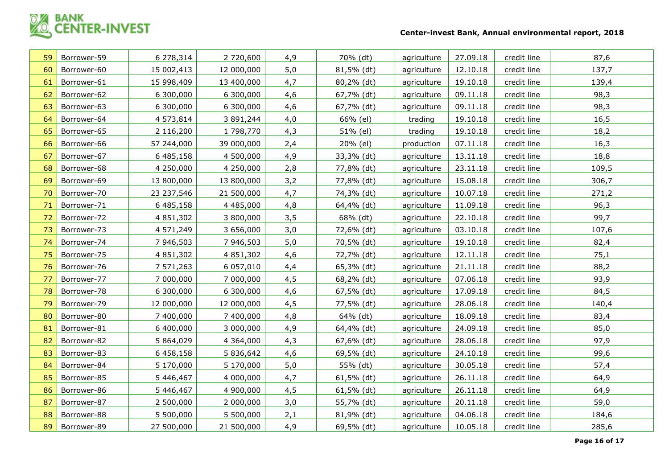

| 59 | Borrower-59 | 6 278,314  | 2 720,600  | 4,9 | 70% (dt)     | agriculture | 27.09.18 | credit line | 87,6  |
|----|-------------|------------|------------|-----|--------------|-------------|----------|-------------|-------|
| 60 | Borrower-60 | 15 002,413 | 12 000,000 | 5,0 | 81,5% (dt)   | agriculture | 12.10.18 | credit line | 137,7 |
| 61 | Borrower-61 | 15 998,409 | 13 400,000 | 4,7 | 80,2% (dt)   | agriculture | 19.10.18 | credit line | 139,4 |
| 62 | Borrower-62 | 6 300,000  | 6 300,000  | 4,6 | 67,7% (dt)   | agriculture | 09.11.18 | credit line | 98,3  |
| 63 | Borrower-63 | 6 300,000  | 6 300,000  | 4,6 | 67,7% (dt)   | agriculture | 09.11.18 | credit line | 98,3  |
| 64 | Borrower-64 | 4 573,814  | 3 891,244  | 4,0 | 66% (el)     | trading     | 19.10.18 | credit line | 16,5  |
| 65 | Borrower-65 | 2 116,200  | 1 798,770  | 4,3 | 51% (el)     | trading     | 19.10.18 | credit line | 18,2  |
| 66 | Borrower-66 | 57 244,000 | 39 000,000 | 2,4 | 20% (el)     | production  | 07.11.18 | credit line | 16,3  |
| 67 | Borrower-67 | 6 485,158  | 4 500,000  | 4,9 | 33,3% (dt)   | agriculture | 13.11.18 | credit line | 18,8  |
| 68 | Borrower-68 | 4 250,000  | 4 250,000  | 2,8 | 77,8% (dt)   | agriculture | 23.11.18 | credit line | 109,5 |
| 69 | Borrower-69 | 13 800,000 | 13 800,000 | 3,2 | 77,8% (dt)   | agriculture | 15.08.18 | credit line | 306,7 |
| 70 | Borrower-70 | 23 237,546 | 21 500,000 | 4,7 | 74,3% (dt)   | agriculture | 10.07.18 | credit line | 271,2 |
| 71 | Borrower-71 | 6 485,158  | 4 485,000  | 4,8 | 64,4% (dt)   | agriculture | 11.09.18 | credit line | 96,3  |
| 72 | Borrower-72 | 4 851,302  | 3 800,000  | 3,5 | 68% (dt)     | agriculture | 22.10.18 | credit line | 99,7  |
| 73 | Borrower-73 | 4 571,249  | 3 656,000  | 3,0 | 72,6% (dt)   | agriculture | 03.10.18 | credit line | 107,6 |
| 74 | Borrower-74 | 7 946,503  | 7 946,503  | 5,0 | 70,5% (dt)   | agriculture | 19.10.18 | credit line | 82,4  |
| 75 | Borrower-75 | 4 851,302  | 4 851,302  | 4,6 | 72,7% (dt)   | agriculture | 12.11.18 | credit line | 75,1  |
| 76 | Borrower-76 | 7 571,263  | 6 057,010  | 4,4 | 65,3% (dt)   | agriculture | 21.11.18 | credit line | 88,2  |
| 77 | Borrower-77 | 7 000,000  | 7 000,000  | 4,5 | 68,2% (dt)   | agriculture | 07.06.18 | credit line | 93,9  |
| 78 | Borrower-78 | 6 300,000  | 6 300,000  | 4,6 | 67,5% (dt)   | agriculture | 17.09.18 | credit line | 84,5  |
| 79 | Borrower-79 | 12 000,000 | 12 000,000 | 4,5 | 77,5% (dt)   | agriculture | 28.06.18 | credit line | 140,4 |
| 80 | Borrower-80 | 7 400,000  | 7 400,000  | 4,8 | 64% (dt)     | agriculture | 18.09.18 | credit line | 83,4  |
| 81 | Borrower-81 | 6 400,000  | 3 000,000  | 4,9 | 64,4% (dt)   | agriculture | 24.09.18 | credit line | 85,0  |
| 82 | Borrower-82 | 5 864,029  | 4 3 64,000 | 4,3 | 67,6% (dt)   | agriculture | 28.06.18 | credit line | 97,9  |
| 83 | Borrower-83 | 6 458,158  | 5 836,642  | 4,6 | 69,5% (dt)   | agriculture | 24.10.18 | credit line | 99,6  |
| 84 | Borrower-84 | 5 170,000  | 5 170,000  | 5,0 | 55% (dt)     | agriculture | 30.05.18 | credit line | 57,4  |
| 85 | Borrower-85 | 5 446,467  | 4 000,000  | 4,7 | $61,5%$ (dt) | agriculture | 26.11.18 | credit line | 64,9  |
| 86 | Borrower-86 | 5 446,467  | 4 900,000  | 4,5 | $61,5%$ (dt) | agriculture | 26.11.18 | credit line | 64,9  |
| 87 | Borrower-87 | 2 500,000  | 2 000,000  | 3,0 | 55,7% (dt)   | agriculture | 20.11.18 | credit line | 59,0  |
| 88 | Borrower-88 | 5 500,000  | 5 500,000  | 2,1 | 81,9% (dt)   | agriculture | 04.06.18 | credit line | 184,6 |
| 89 | Borrower-89 | 27 500,000 | 21 500,000 | 4,9 | 69,5% (dt)   | agriculture | 10.05.18 | credit line | 285,6 |